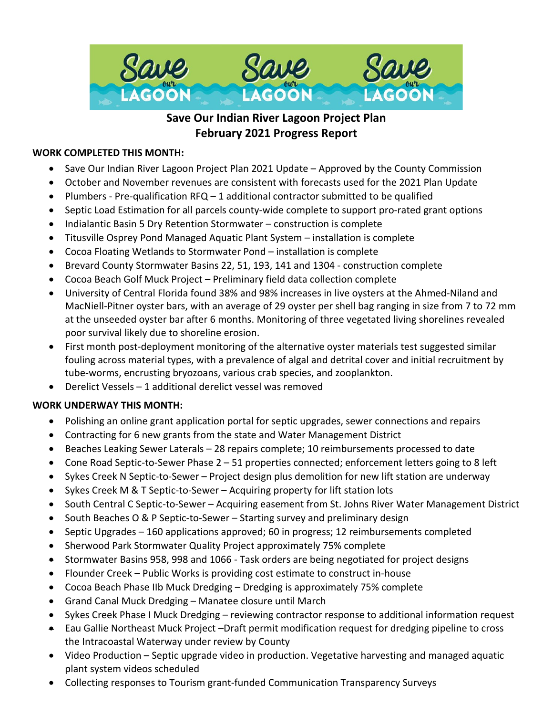

# **Save Our Indian River Lagoon Project Plan February 2021 Progress Report**

## **WORK COMPLETED THIS MONTH:**

- Save Our Indian River Lagoon Project Plan 2021 Update Approved by the County Commission
- October and November revenues are consistent with forecasts used for the 2021 Plan Update
- Plumbers Pre-qualification  $RFA 1$  additional contractor submitted to be qualified
- Septic Load Estimation for all parcels county-wide complete to support pro-rated grant options
- Indialantic Basin 5 Dry Retention Stormwater construction is complete
- Titusville Osprey Pond Managed Aquatic Plant System installation is complete
- Cocoa Floating Wetlands to Stormwater Pond installation is complete
- Brevard County Stormwater Basins 22, 51, 193, 141 and 1304 construction complete
- Cocoa Beach Golf Muck Project Preliminary field data collection complete
- University of Central Florida found 38% and 98% increases in live oysters at the Ahmed-Niland and MacNiell-Pitner oyster bars, with an average of 29 oyster per shell bag ranging in size from 7 to 72 mm at the unseeded oyster bar after 6 months. Monitoring of three vegetated living shorelines revealed poor survival likely due to shoreline erosion.
- First month post-deployment monitoring of the alternative oyster materials test suggested similar fouling across material types, with a prevalence of algal and detrital cover and initial recruitment by tube-worms, encrusting bryozoans, various crab species, and zooplankton.
- Derelict Vessels 1 additional derelict vessel was removed

## **WORK UNDERWAY THIS MONTH:**

- Polishing an online grant application portal for septic upgrades, sewer connections and repairs
- Contracting for 6 new grants from the state and Water Management District
- Beaches Leaking Sewer Laterals 28 repairs complete; 10 reimbursements processed to date
- Cone Road Septic-to-Sewer Phase 2 51 properties connected; enforcement letters going to 8 left
- Sykes Creek N Septic-to-Sewer Project design plus demolition for new lift station are underway
- Sykes Creek M & T Septic-to-Sewer Acquiring property for lift station lots
- South Central C Septic-to-Sewer Acquiring easement from St. Johns River Water Management District
- South Beaches O & P Septic-to-Sewer Starting survey and preliminary design
- Septic Upgrades 160 applications approved; 60 in progress; 12 reimbursements completed
- Sherwood Park Stormwater Quality Project approximately 75% complete
- Stormwater Basins 958, 998 and 1066 Task orders are being negotiated for project designs
- Flounder Creek Public Works is providing cost estimate to construct in-house
- Cocoa Beach Phase IIb Muck Dredging Dredging is approximately 75% complete
- Grand Canal Muck Dredging Manatee closure until March
- Sykes Creek Phase I Muck Dredging reviewing contractor response to additional information request
- Eau Gallie Northeast Muck Project –Draft permit modification request for dredging pipeline to cross the Intracoastal Waterway under review by County
- Video Production Septic upgrade video in production. Vegetative harvesting and managed aquatic plant system videos scheduled
- Collecting responses to Tourism grant-funded Communication Transparency Surveys